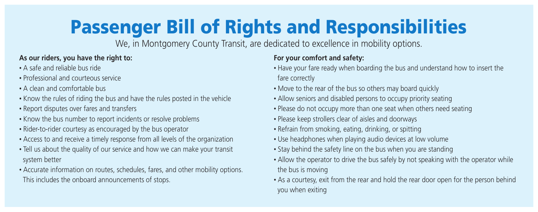## **As our riders, you have the right to:**

- A safe and reliable bus ride
- Professional and courteous service
- A clean and comfortable bus
- Know the rules of riding the bus and have the rules posted in the vehicle
- Report disputes over fares and transfers
- Know the bus number to report incidents or resolve problems
- Rider-to-rider courtesy as encouraged by the bus operator
- Access to and receive a timely response from all levels of the organization
- Tell us about the quality of our service and how we can make your transit system better
- Accurate information on routes, schedules, fares, and other mobility options. This includes the onboard announcements of stops.

## **For your comfort and safety:**

- Have your fare ready when boarding the bus and understand how to insert the fare correctly
- Move to the rear of the bus so others may board quickly
- Allow seniors and disabled persons to occupy priority seating
- Please do not occupy more than one seat when others need seating
- Please keep strollers clear of aisles and doorways
- Refrain from smoking, eating, drinking, or spitting
- Use headphones when playing audio devices at low volume
- Stay behind the safety line on the bus when you are standing
- Allow the operator to drive the bus safely by not speaking with the operator while the bus is moving
- As a courtesy, exit from the rear and hold the rear door open for the person behind you when exiting

# **Passenger Bill of Rights and Responsibilities**

We, in Montgomery County Transit, are dedicated to excellence in mobility options.